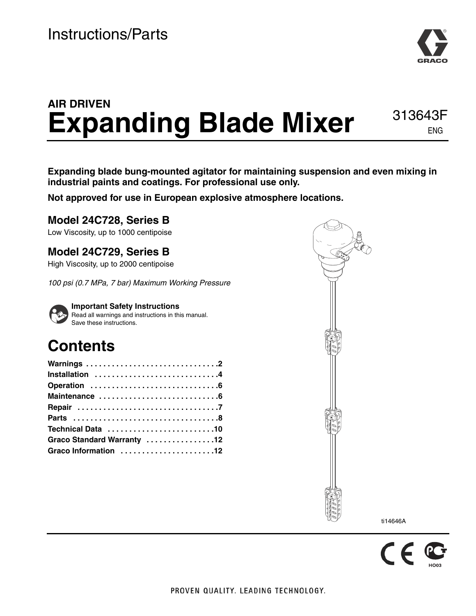

313643F

ENG

# **AIR DRIVEN Expanding Blade Mixer**

**Expanding blade bung-mounted agitator for maintaining suspension and even mixing in industrial paints and coatings. For professional use only.**

**Not approved for use in European explosive atmosphere locations.**

**Model 24C728, Series B** Low Viscosity, up to 1000 centipoise

**Model 24C729, Series B**

High Viscosity, up to 2000 centipoise

*100 psi (0.7 MPa, 7 bar) Maximum Working Pressure*



**Important Safety Instructions** Read all warnings and instructions in this manual. Save these instructions.

## **Contents**

| Installation 4             |
|----------------------------|
|                            |
|                            |
|                            |
|                            |
| Technical Data 10          |
| Graco Standard Warranty 12 |
| Graco Information 12       |



ti14646A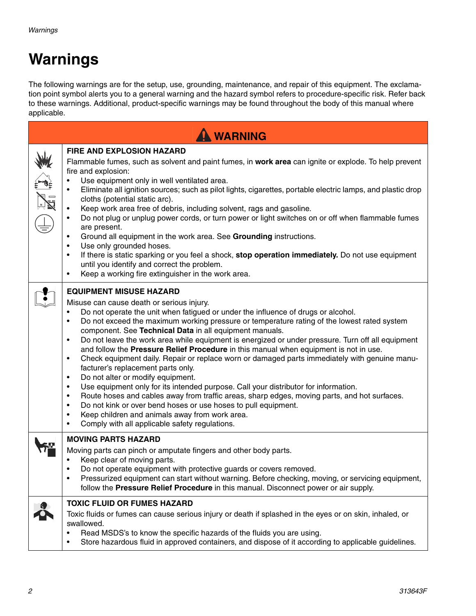## **Warnings**

The following warnings are for the setup, use, grounding, maintenance, and repair of this equipment. The exclamation point symbol alerts you to a general warning and the hazard symbol refers to procedure-specific risk. Refer back to these warnings. Additional, product-specific warnings may be found throughout the body of this manual where applicable.

| <b>WARNING</b> |                                                                                                                                                                                                                                                                                                                                                                                                                                                                                                                                                                                                                                                                                                                                                                                                                                                                                                                                                                                                                                                                                                                                                                                                     |  |  |
|----------------|-----------------------------------------------------------------------------------------------------------------------------------------------------------------------------------------------------------------------------------------------------------------------------------------------------------------------------------------------------------------------------------------------------------------------------------------------------------------------------------------------------------------------------------------------------------------------------------------------------------------------------------------------------------------------------------------------------------------------------------------------------------------------------------------------------------------------------------------------------------------------------------------------------------------------------------------------------------------------------------------------------------------------------------------------------------------------------------------------------------------------------------------------------------------------------------------------------|--|--|
|                | <b>FIRE AND EXPLOSION HAZARD</b><br>Flammable fumes, such as solvent and paint fumes, in work area can ignite or explode. To help prevent<br>fire and explosion:<br>Use equipment only in well ventilated area.<br>$\bullet$<br>Eliminate all ignition sources; such as pilot lights, cigarettes, portable electric lamps, and plastic drop<br>cloths (potential static arc).<br>Keep work area free of debris, including solvent, rags and gasoline.<br>$\bullet$<br>Do not plug or unplug power cords, or turn power or light switches on or off when flammable fumes<br>٠<br>are present.<br>Ground all equipment in the work area. See Grounding instructions.<br>$\bullet$<br>Use only grounded hoses.<br>$\bullet$<br>If there is static sparking or you feel a shock, stop operation immediately. Do not use equipment<br>٠<br>until you identify and correct the problem.<br>Keep a working fire extinguisher in the work area.<br>$\bullet$                                                                                                                                                                                                                                                |  |  |
|                | <b>EQUIPMENT MISUSE HAZARD</b><br>Misuse can cause death or serious injury.<br>Do not operate the unit when fatigued or under the influence of drugs or alcohol.<br>$\bullet$<br>Do not exceed the maximum working pressure or temperature rating of the lowest rated system<br>$\bullet$<br>component. See Technical Data in all equipment manuals.<br>Do not leave the work area while equipment is energized or under pressure. Turn off all equipment<br>$\bullet$<br>and follow the Pressure Relief Procedure in this manual when equipment is not in use.<br>Check equipment daily. Repair or replace worn or damaged parts immediately with genuine manu-<br>$\bullet$<br>facturer's replacement parts only.<br>Do not alter or modify equipment.<br>$\bullet$<br>Use equipment only for its intended purpose. Call your distributor for information.<br>$\bullet$<br>Route hoses and cables away from traffic areas, sharp edges, moving parts, and hot surfaces.<br>$\bullet$<br>Do not kink or over bend hoses or use hoses to pull equipment.<br>$\bullet$<br>Keep children and animals away from work area.<br>$\bullet$<br>Comply with all applicable safety regulations.<br>$\bullet$ |  |  |
|                | <b>MOVING PARTS HAZARD</b><br>Moving parts can pinch or amputate fingers and other body parts.<br>Keep clear of moving parts.<br>Do not operate equipment with protective guards or covers removed.<br>Pressurized equipment can start without warning. Before checking, moving, or servicing equipment,<br>٠<br>follow the Pressure Relief Procedure in this manual. Disconnect power or air supply.                                                                                                                                                                                                                                                                                                                                                                                                                                                                                                                                                                                                                                                                                                                                                                                               |  |  |
|                | <b>TOXIC FLUID OR FUMES HAZARD</b><br>Toxic fluids or fumes can cause serious injury or death if splashed in the eyes or on skin, inhaled, or<br>swallowed.<br>Read MSDS's to know the specific hazards of the fluids you are using.<br>٠<br>Store hazardous fluid in approved containers, and dispose of it according to applicable guidelines.<br>٠                                                                                                                                                                                                                                                                                                                                                                                                                                                                                                                                                                                                                                                                                                                                                                                                                                               |  |  |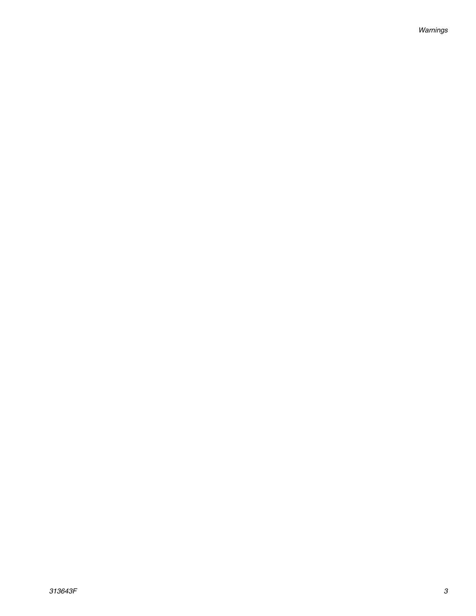*Warnings*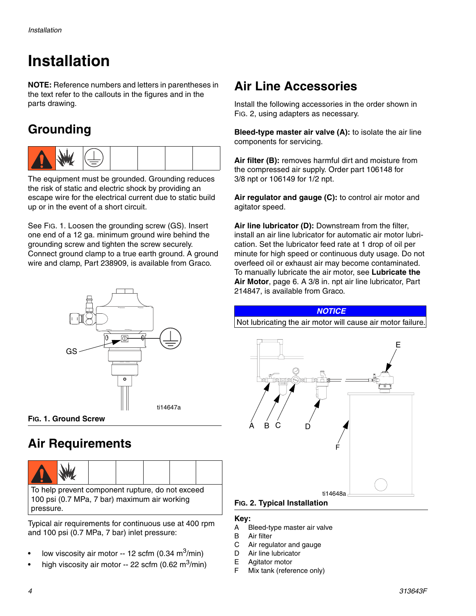## <span id="page-3-0"></span>**Installation**

**NOTE:** Reference numbers and letters in parentheses in the text refer to the callouts in the figures and in the parts drawing.

## <span id="page-3-1"></span>**Grounding**



The equipment must be grounded. Grounding reduces the risk of static and electric shock by providing an escape wire for the electrical current due to static build up or in the event of a short circuit.

See [FIG. 1](#page-3-2). Loosen the grounding screw (GS). Insert one end of a 12 ga. minimum ground wire behind the grounding screw and tighten the screw securely. Connect ground clamp to a true earth ground. A ground wire and clamp, Part 238909, is available from Graco.

# GS ti14647a

<span id="page-3-2"></span>

## **Air Requirements**



Typical air requirements for continuous use at 400 rpm and 100 psi (0.7 MPa, 7 bar) inlet pressure:

- low viscosity air motor -- 12 scfm  $(0.34 \text{ m}^3/\text{min})$
- high viscosity air motor -- 22 scfm (0.62 m<sup>3</sup>/min)

#### **Air Line Accessories**

Install the following accessories in the order shown in [FIG. 2](#page-3-3), using adapters as necessary.

**Bleed-type master air valve (A):** to isolate the air line components for servicing.

**Air filter (B):** removes harmful dirt and moisture from the compressed air supply. Order part 106148 for 3/8 npt or 106149 for 1/2 npt.

**Air regulator and gauge (C):** to control air motor and agitator speed.

**Air line lubricator (D):** Downstream from the filter, install an air line lubricator for automatic air motor lubrication. Set the lubricator feed rate at 1 drop of oil per minute for high speed or continuous duty usage. Do not overfeed oil or exhaust air may become contaminated. To manually lubricate the air motor, see **[Lubricate the](#page-5-2)  [Air Motor](#page-5-2)**, page [6.](#page-5-2) A 3/8 in. npt air line lubricator, Part 214847, is available from Graco.

#### *NOTICE*

Not lubricating the air motor will cause air motor failure.



#### <span id="page-3-3"></span>**FIG. 2. Typical Installation**

#### **Key:**

- A Bleed-type master air valve
- B Air filter
- C Air regulator and gauge
- D Air line lubricator
- E Agitator motor
- F Mix tank (reference only)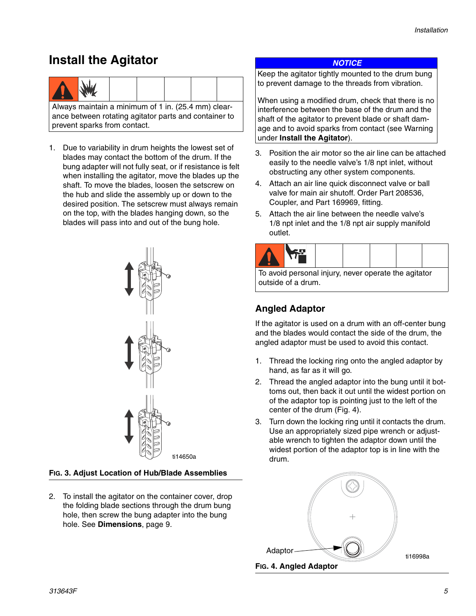### <span id="page-4-0"></span>**Install the Agitator**



Always maintain a minimum of 1 in. (25.4 mm) clearance between rotating agitator parts and container to prevent sparks from contact.

1. Due to variability in drum heights the lowest set of blades may contact the bottom of the drum. If the bung adapter will not fully seat, or if resistance is felt when installing the agitator, move the blades up the shaft. To move the blades, loosen the setscrew on the hub and slide the assembly up or down to the desired position. The setscrew must always remain on the top, with the blades hanging down, so the blades will pass into and out of the bung hole.



#### **FIG. 3. Adjust Location of Hub/Blade Assemblies**

2. To install the agitator on the container cover, drop the folding blade sections through the drum bung hole, then screw the bung adapter into the bung hole. See **[Dimensions](#page-8-0)**, page [9.](#page-8-0)

#### *NOTICE*

Keep the agitator tightly mounted to the drum bung to prevent damage to the threads from vibration.

When using a modified drum, check that there is no interference between the base of the drum and the shaft of the agitator to prevent blade or shaft damage and to avoid sparks from contact (see Warning under **[Install the Agitator](#page-4-0)**).

- 3. Position the air motor so the air line can be attached easily to the needle valve's 1/8 npt inlet, without obstructing any other system components.
- 4. Attach an air line quick disconnect valve or ball valve for main air shutoff. Order Part 208536, Coupler, and Part 169969, fitting.
- 5. Attach the air line between the needle valve's 1/8 npt inlet and the 1/8 npt air supply manifold outlet.



To avoid personal injury, never operate the agitator outside of a drum.

#### **Angled Adaptor**

If the agitator is used on a drum with an off-center bung and the blades would contact the side of the drum, the angled adaptor must be used to avoid this contact.

- 1. Thread the locking ring onto the angled adaptor by hand, as far as it will go.
- 2. Thread the angled adaptor into the bung until it bottoms out, then back it out until the widest portion on of the adaptor top is pointing just to the left of the center of the drum (Fig. 4).
- 3. Turn down the locking ring until it contacts the drum. Use an appropriately sized pipe wrench or adjustable wrench to tighten the adaptor down until the widest portion of the adaptor top is in line with the drum.

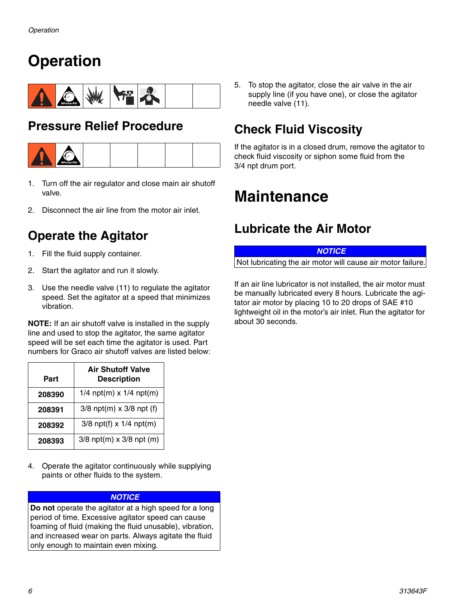## <span id="page-5-0"></span>**Operation**



#### <span id="page-5-3"></span>**Pressure Relief Procedure**



- 1. Turn off the air regulator and close main air shutoff valve.
- 2. Disconnect the air line from the motor air inlet.

## **Operate the Agitator**

- 1. Fill the fluid supply container.
- 2. Start the agitator and run it slowly.
- 3. Use the needle valve (11) to regulate the agitator speed. Set the agitator at a speed that minimizes vibration.

**NOTE:** If an air shutoff valve is installed in the supply line and used to stop the agitator, the same agitator speed will be set each time the agitator is used. Part numbers for Graco air shutoff valves are listed below:

| Part   | <b>Air Shutoff Valve</b><br><b>Description</b> |  |
|--------|------------------------------------------------|--|
| 208390 | 1/4 $npt(m)$ x 1/4 $npt(m)$                    |  |
| 208391 | $3/8$ npt(m) x $3/8$ npt (f)                   |  |
| 208392 | $3/8$ npt(f) x $1/4$ npt(m)                    |  |
| 208393 | $3/8$ npt(m) x $3/8$ npt (m)                   |  |

4. Operate the agitator continuously while supplying paints or other fluids to the system.

#### *NOTICE*

**Do not** operate the agitator at a high speed for a long period of time. Excessive agitator speed can cause foaming of fluid (making the fluid unusable), vibration, and increased wear on parts. Always agitate the fluid only enough to maintain even mixing.

5. To stop the agitator, close the air valve in the air supply line (if you have one), or close the agitator needle valve (11).

### **Check Fluid Viscosity**

If the agitator is in a closed drum, remove the agitator to check fluid viscosity or siphon some fluid from the 3/4 npt drum port.

## <span id="page-5-1"></span>**Maintenance**

### <span id="page-5-2"></span>**Lubricate the Air Motor**

*NOTICE* Not lubricating the air motor will cause air motor failure.

If an air line lubricator is not installed, the air motor must be manually lubricated every 8 hours. Lubricate the agitator air motor by placing 10 to 20 drops of SAE #10 lightweight oil in the motor's air inlet. Run the agitator for about 30 seconds.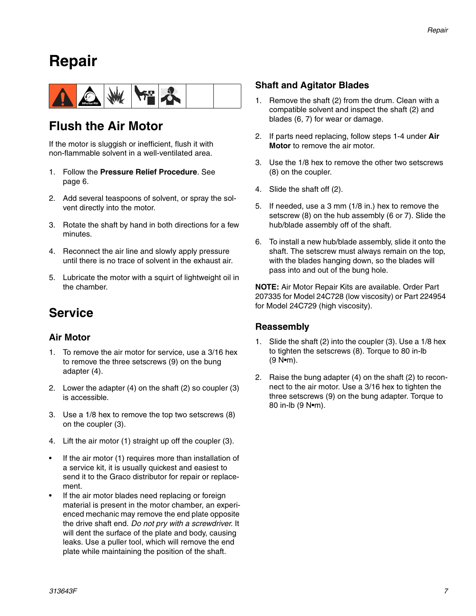## <span id="page-6-0"></span>**Repair**



#### **Flush the Air Motor**

If the motor is sluggish or inefficient, flush it with non-flammable solvent in a well-ventilated area.

- 1. Follow the **[Pressure Relief Procedure](#page-5-3)**. See page [6.](#page-5-3)
- 2. Add several teaspoons of solvent, or spray the solvent directly into the motor.
- 3. Rotate the shaft by hand in both directions for a few minutes.
- 4. Reconnect the air line and slowly apply pressure until there is no trace of solvent in the exhaust air.
- 5. Lubricate the motor with a squirt of lightweight oil in the chamber.

#### **Service**

#### <span id="page-6-1"></span>**Air Motor**

- 1. To remove the air motor for service, use a 3/16 hex to remove the three setscrews (9) on the bung adapter (4).
- 2. Lower the adapter (4) on the shaft (2) so coupler (3) is accessible.
- 3. Use a 1/8 hex to remove the top two setscrews (8) on the coupler (3).
- 4. Lift the air motor (1) straight up off the coupler (3).
- If the air motor (1) requires more than installation of a service kit, it is usually quickest and easiest to send it to the Graco distributor for repair or replacement.
- If the air motor blades need replacing or foreign material is present in the motor chamber, an experienced mechanic may remove the end plate opposite the drive shaft end. *Do not pry with a screwdriver.* It will dent the surface of the plate and body, causing leaks. Use a puller tool, which will remove the end plate while maintaining the position of the shaft.

#### **Shaft and Agitator Blades**

- 1. Remove the shaft (2) from the drum. Clean with a compatible solvent and inspect the shaft (2) and blades (6, 7) for wear or damage.
- 2. If parts need replacing, follow steps 1-4 under **[Air](#page-6-1)  [Motor](#page-6-1)** to remove the air motor.
- 3. Use the 1/8 hex to remove the other two setscrews (8) on the coupler.
- 4. Slide the shaft off (2).
- 5. If needed, use a 3 mm (1/8 in.) hex to remove the setscrew (8) on the hub assembly (6 or 7). Slide the hub/blade assembly off of the shaft.
- 6. To install a new hub/blade assembly, slide it onto the shaft. The setscrew must always remain on the top, with the blades hanging down, so the blades will pass into and out of the bung hole.

**NOTE:** Air Motor Repair Kits are available. Order Part 207335 for Model 24C728 (low viscosity) or Part 224954 for Model 24C729 (high viscosity).

#### **Reassembly**

- 1. Slide the shaft (2) into the coupler (3). Use a 1/8 hex to tighten the setscrews (8). Torque to 80 in-lb (9 N•m).
- 2. Raise the bung adapter (4) on the shaft (2) to reconnect to the air motor. Use a 3/16 hex to tighten the three setscrews (9) on the bung adapter. Torque to 80 in-lb (9 N•m).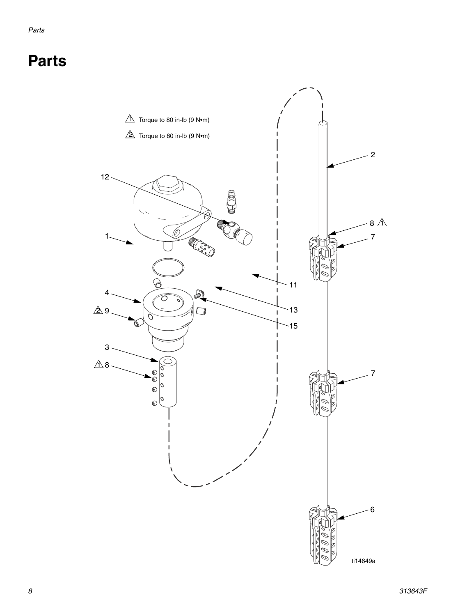## <span id="page-7-0"></span>**Parts**

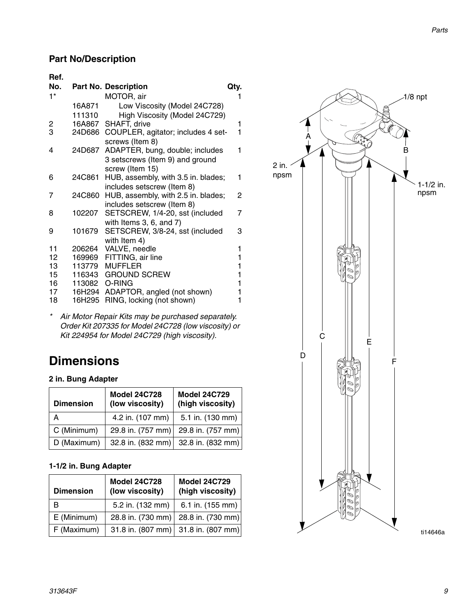#### **Part No/Description**

| Ref.     |                  |                                                          |      |
|----------|------------------|----------------------------------------------------------|------|
| No.      |                  | <b>Part No. Description</b>                              | Qty. |
| $1*$     |                  | MOTOR, air                                               |      |
|          | 16A871           | Low Viscosity (Model 24C728)                             |      |
|          | 111310           | High Viscosity (Model 24C729)                            |      |
| 2        | 16A867           | SHAFT, drive                                             | 1    |
| 3        | 24D686           | COUPLER, agitator; includes 4 set-                       | 1    |
|          |                  | screws (Item 8)                                          |      |
| 4        | 24D687           | ADAPTER, bung, double; includes                          | 1    |
|          |                  | 3 setscrews (Item 9) and ground                          |      |
|          |                  | screw (Item 15)                                          |      |
| 6        | 24C861           | HUB, assembly, with 3.5 in. blades;                      | 1    |
|          |                  | includes setscrew (Item 8)                               |      |
| 7        | 24C860           | HUB, assembly, with 2.5 in. blades;                      | 2    |
|          |                  | includes setscrew (Item 8)                               |      |
| 8        | 102207           | SETSCREW, 1/4-20, sst (included                          | 7    |
|          |                  | with Items $3, 6$ , and $7)$                             |      |
| 9        | 101679           | SETSCREW, 3/8-24, sst (included                          | 3    |
|          |                  | with Item 4)                                             |      |
| 11       | 206264           | VALVE, needle                                            | 1    |
| 12       | 169969           | FITTING, air line                                        | 1    |
| 13       | 113779           | <b>MUFFLER</b>                                           | 1    |
| 15       | 116343           | <b>GROUND SCREW</b>                                      | 1    |
| 16<br>17 | 113082           | O-RING                                                   | 1    |
| 18       | 16H294<br>16H295 | ADAPTOR, angled (not shown)<br>RING, locking (not shown) | 1    |
|          |                  |                                                          |      |
|          |                  |                                                          |      |

*\* Air Motor Repair Kits may be purchased separately. Order Kit 207335 for Model 24C728 (low viscosity) or Kit 224954 for Model 24C729 (high viscosity).*

#### <span id="page-8-0"></span>**Dimensions**

#### **2 in. Bung Adapter**

| <b>Dimension</b> | <b>Model 24C728</b><br>(low viscosity) | <b>Model 24C729</b><br>(high viscosity) |
|------------------|----------------------------------------|-----------------------------------------|
| А                | 4.2 in. (107 mm)                       | 5.1 in. (130 mm)                        |
| C (Minimum)      | 29.8 in. (757 mm)                      | 29.8 in. (757 mm)                       |
| D (Maximum)      |                                        | 32.8 in. (832 mm) 32.8 in. (832 mm)     |

#### **1-1/2 in. Bung Adapter**

| <b>Dimension</b> | <b>Model 24C728</b><br>(low viscosity) | <b>Model 24C729</b><br>(high viscosity) |
|------------------|----------------------------------------|-----------------------------------------|
| в                | 5.2 in. (132 mm)                       | 6.1 in. (155 mm)                        |
| E (Minimum)      |                                        | 28.8 in. (730 mm) 28.8 in. (730 mm)     |
| F (Maximum)      |                                        | 31.8 in. (807 mm) 31.8 in. (807 mm)     |

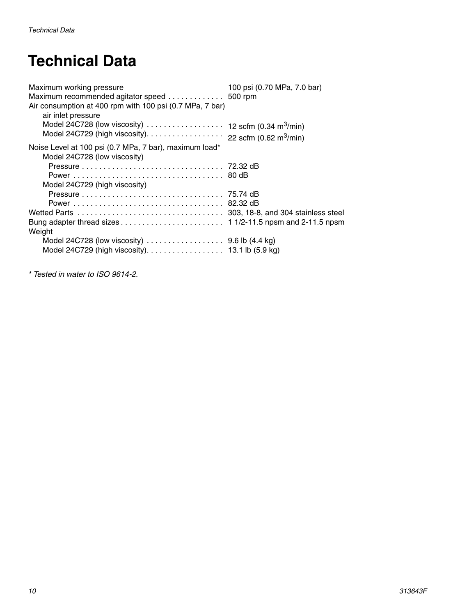## <span id="page-9-0"></span>**Technical Data**

| Maximum working pressure<br>Maximum recommended agitator speed 500 rpm<br>Air consumption at 400 rpm with 100 psi (0.7 MPa, 7 bar)<br>air inlet pressure | 100 psi (0.70 MPa, 7.0 bar) |
|----------------------------------------------------------------------------------------------------------------------------------------------------------|-----------------------------|
| Model 24C728 (low viscosity) $\ldots \ldots \ldots \ldots \ldots$ 12 scfm (0.34 m <sup>3</sup> /min)                                                     |                             |
| Noise Level at 100 psi (0.7 MPa, 7 bar), maximum load*<br>Model 24C728 (low viscosity)                                                                   |                             |
|                                                                                                                                                          |                             |
| Model 24C729 (high viscosity)                                                                                                                            |                             |
|                                                                                                                                                          |                             |
|                                                                                                                                                          |                             |
|                                                                                                                                                          |                             |
| Weight                                                                                                                                                   |                             |
| Model 24C728 (low viscosity) $\dots \dots \dots \dots \dots$ 9.6 lb (4.4 kg)<br>Model 24C729 (high viscosity). 13.1 lb (5.9 kg)                          |                             |

*\* Tested in water to ISO 9614-2.*